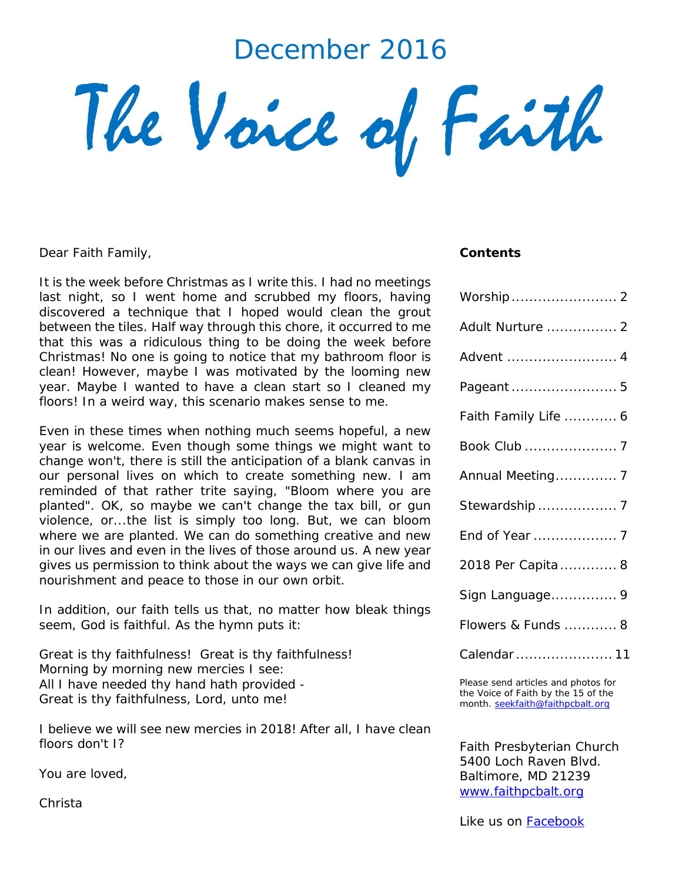# December 2016

The Voice of Faith

Dear Faith Family,

It is the week before Christmas as I write this. I had no meetings last night, so I went home and scrubbed my floors, having discovered a technique that I hoped would clean the grout between the tiles. Half way through this chore, it occurred to me that this was a ridiculous thing to be doing the week before Christmas! No one is going to notice that my bathroom floor is clean! However, maybe I was motivated by the looming new year. Maybe I wanted to have a clean start so I cleaned my floors! In a weird way, this scenario makes sense to me.

Even in these times when nothing much seems hopeful, a new year is welcome. Even though some things we might want to change won't, there is still the anticipation of a blank canvas in our personal lives on which to create something new. I am reminded of that rather trite saying, "Bloom where you are planted". OK, so maybe we can't change the tax bill, or gun violence, or...the list is simply too long. But, we can bloom where we are planted. We can do something creative and new in our lives and even in the lives of those around us. A new year gives us permission to think about the ways we can give life and nourishment and peace to those in our own orbit.

In addition, our faith tells us that, no matter how bleak things seem, God is faithful. As the hymn puts it:

Great is thy faithfulness! Great is thy faithfulness! Morning by morning new mercies I see: All I have needed thy hand hath provided - Great is thy faithfulness, Lord, unto me!

I believe we will see new mercies in 2018! After all, I have clean floors don't I?

You are loved,

Christa

#### *Contents*

| Worship  2           |
|----------------------|
| Adult Nurture  2     |
| Advent  4            |
| Pageant  5           |
| Faith Family Life  6 |
| Book Club  7         |
| Annual Meeting 7     |
| Stewardship  7       |
| End of Year  7       |
| 2018 Per Capita 8    |
| Sign Language 9      |
| Flowers & Funds  8   |
| Calendar  11         |

Please send articles and photos for the Voice of Faith by the 15 of the month. [seekfaith@faithpcbalt.org](mailto:seekfaith@faithpcbalt.org)

Faith Presbyterian Church 5400 Loch Raven Blvd. Baltimore, MD 21239 [www.faithpcbalt.org](http://www.faithpcbalt.org/)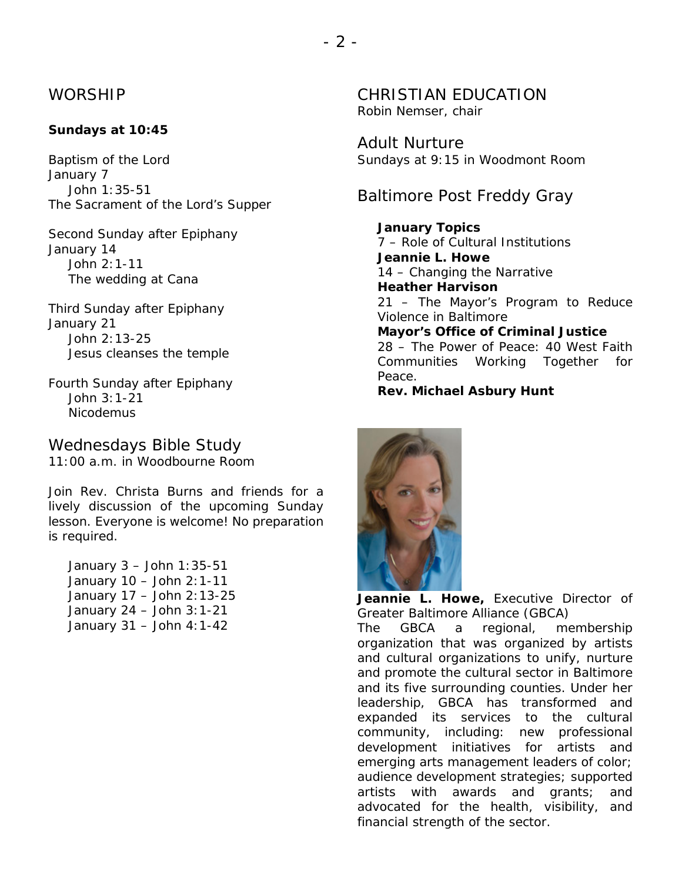### WORSHIP

### **Sundays at 10:45**

Baptism of the Lord *January 7* John 1:35-51 The Sacrament of the Lord's Supper

Second Sunday after Epiphany *January 14* John 2:1-11 The wedding at Cana

Third Sunday after Epiphany *January 21* John 2:13-25 Jesus cleanses the temple

*Fourth Sunday after Epiphany* John 3:1-21 Nicodemus

# Wednesdays Bible Study

*11:00 a.m. in Woodbourne Room*

Join Rev. Christa Burns and friends for a lively discussion of the upcoming Sunday lesson. Everyone is welcome! No preparation is required.

January 3 – John 1:35-51 January 10 – John 2:1-11 January 17 – John 2:13-25 January 24 – John 3:1-21 January 31 – John 4:1-42

CHRISTIAN EDUCATION Robin Nemser, *chair*

Adult Nurture *Sundays at 9:15 in Woodmont Room*

Baltimore Post Freddy Gray

**January Topics** 7 – Role of Cultural Institutions **Jeannie L. Howe** 14 – Changing the Narrative **Heather Harvison** 21 – The Mayor's Program to Reduce Violence in Baltimore **Mayor's Office of Criminal Justice** 28 – The Power of Peace: 40 West Faith Communities Working Together for Peace.

**Rev. Michael Asbury Hunt**



**Jeannie L. Howe,** *Executive Director of Greater Baltimore Alliance (GBCA)*

The GBCA a regional, membership organization that was organized by artists and cultural organizations to unify, nurture and promote the cultural sector in Baltimore and its five surrounding counties. Under her leadership, GBCA has transformed and expanded its services to the cultural community, including: new professional development initiatives for artists and emerging arts management leaders of color; audience development strategies; supported artists with awards and grants; and advocated for the health, visibility, and financial strength of the sector.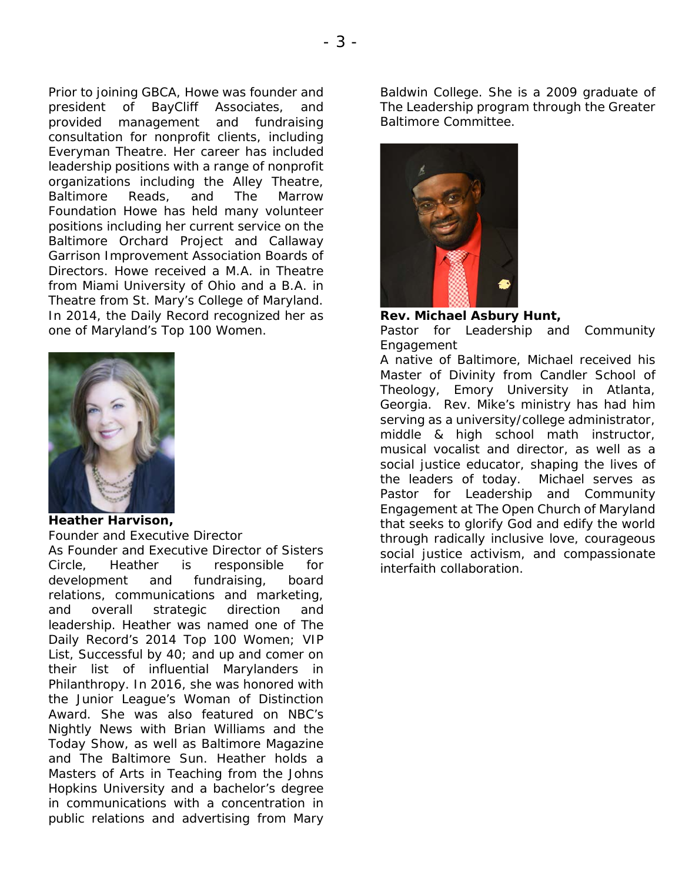Prior to joining GBCA, Howe was founder and president of BayCliff Associates, and provided management and fundraising consultation for nonprofit clients, including Everyman Theatre. Her career has included leadership positions with a range of nonprofit organizations including the Alley Theatre, Baltimore Reads, and The Marrow Foundation Howe has held many volunteer positions including her current service on the Baltimore Orchard Project and Callaway Garrison Improvement Association Boards of Directors. Howe received a M.A. in Theatre from Miami University of Ohio and a B.A. in Theatre from St. Mary's College of Maryland. In 2014, the Daily Record recognized her as one of Maryland's Top 100 Women.



#### **Heather Harvison,** *Founder and Executive Director*

As Founder and Executive Director of Sisters Circle, Heather is responsible for development and fundraising, board relations, communications and marketing, and overall strategic direction and leadership. Heather was named one of The Daily Record's 2014 Top 100 Women; VIP List, Successful by 40; and up and comer on their list of influential Marylanders in Philanthropy. In 2016, she was honored with the Junior League's Woman of Distinction Award. She was also featured on NBC's Nightly News with Brian Williams and the Today Show, as well as Baltimore Magazine and The Baltimore Sun. Heather holds a Masters of Arts in Teaching from the Johns Hopkins University and a bachelor's degree in communications with a concentration in public relations and advertising from Mary Baldwin College. She is a 2009 graduate of The Leadership program through the Greater Baltimore Committee.



**Rev. Michael Asbury Hunt,** *Pastor for Leadership and Community Engagement* 

A native of Baltimore, Michael received his Master of Divinity from Candler School of Theology, Emory University in Atlanta, Georgia. Rev. Mike's ministry has had him serving as a university/college administrator, middle & high school math instructor, musical vocalist and director, as well as a social justice educator, shaping the lives of the leaders of today. Michael serves as Pastor for Leadership and Community Engagement at The Open Church of Maryland that seeks to glorify God and edify the world through radically inclusive love, courageous social justice activism, and compassionate interfaith collaboration.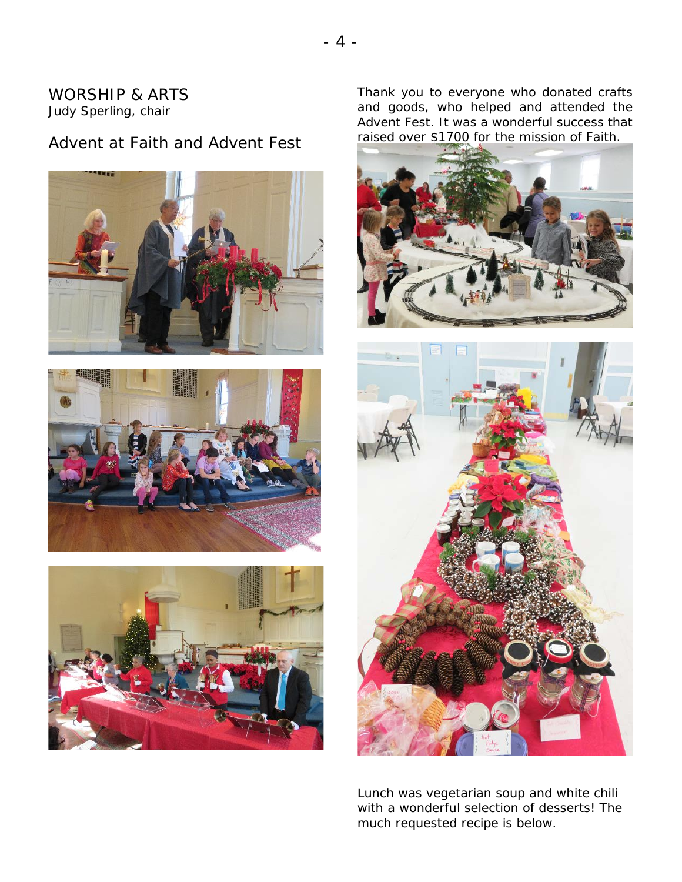### WORSHIP & ARTS Judy Sperling, chair

## Advent at Faith and Advent Fest







Thank you to everyone who donated crafts and goods, who helped and attended the Advent Fest. It was a wonderful success that raised over \$1700 for the mission of Faith.





Lunch was vegetarian soup and white chili with a wonderful selection of desserts! The much requested recipe is below.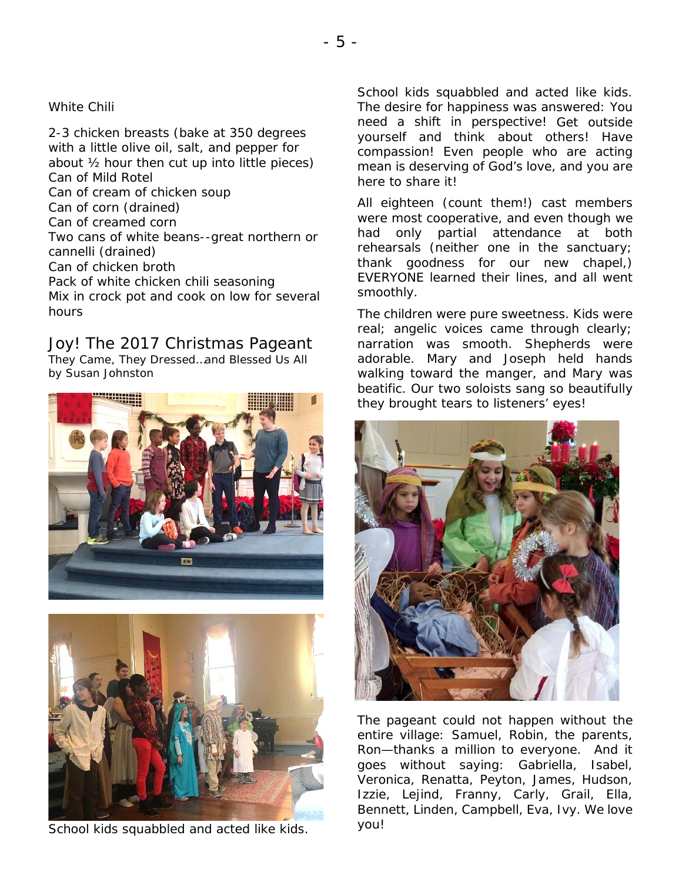### White Chili

2-3 chicken breasts (bake at 350 degrees with a little olive oil, salt, and pepper for about ½ hour then cut up into little pieces) Can of Mild Rotel Can of cream of chicken soup Can of corn (drained) Can of creamed corn Two cans of white beans--great northern or cannelli (drained) Can of chicken broth Pack of white chicken chili seasoning Mix in crock pot and cook on low for several hours

Joy! The 2017 Christmas Pageant They Came, They Dressed…and Blessed Us All *by* Susan Johnston





School kids squabbled and acted like kids.

School kids squabbled and acted like kids. School kids squabbled and acted like kids.<br>The desire for happiness was answered: You need a shift in perspective! Get outside yourself and think about others! Have compassion! Even people who are acting mean is deserving of God's love, and you are here to share it! cast members members members members  $\mathbf{c}$ 

All eighteen (count them!) cast members An eigneem (eeum moni.) east moniests mere meet eeeperative, and even theagh meer<br>had only partial attendance at both ridd only partial attorigance at semi- $\frac{1}{2}$  chears also their lines, and all weight  $\frac{1}{2}$  thank goodness for our new chapel, starm ge EVERYONE learned their lines, and all went<br>smoothly  $rac{1}{\sqrt{2}}$ smoothly.

The children were pure sweetness. Kids were real; angelic voices came through clearly; narration was smooth. Shepherds were adorable. Mary and Joseph held hands walking toward the manger, and Mary was beatific. Our two soloists sang so beautifully they brought tears to listeners' eyes!



The pageant could not happen without the entire village: Samuel, Robin, the parents, Ron—thanks a million to everyone. And it goes without saying: Gabriella, Isabel, Veronica, Renatta, Peyton, James, Hudson, Izzie, Lejind, Franny, Carly, Grail, Ella, Bennett, Linden, Campbell, Eva, Ivy. We love you!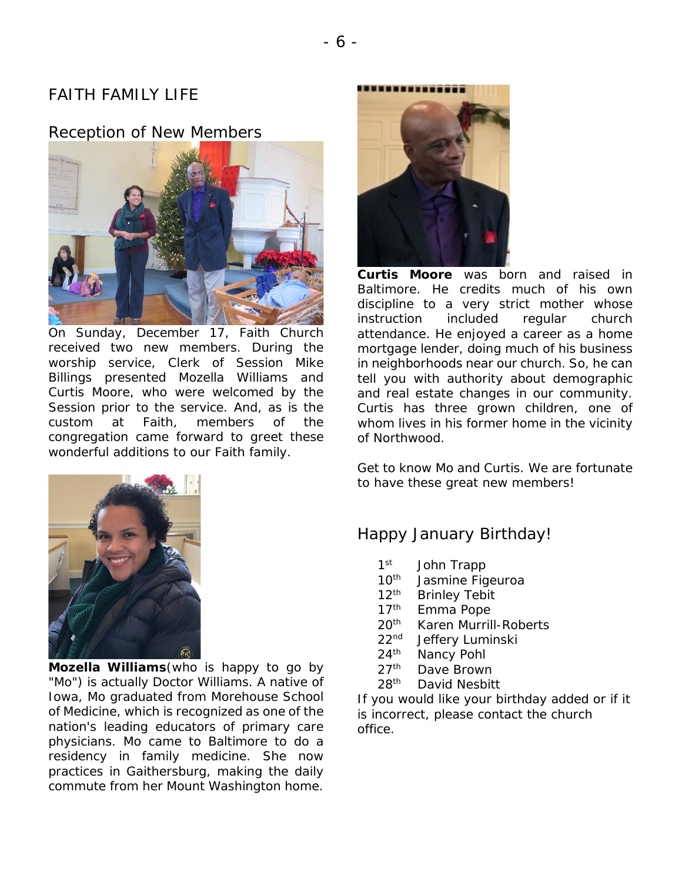## FAITH FAMILY LIFE

### Reception of New Members



On Sunday, December 17, Faith Church received two new members. During the worship service, Clerk of Session Mike Billings presented Mozella Williams and Curtis Moore, who were welcomed by the Session prior to the service. And, as is the custom at Faith, members of the congregation came forward to greet these wonderful additions to our Faith family.



**Curtis Moore** was born and raised in Baltimore. He credits much of his own discipline to a very strict mother whose instruction included regular church attendance. He enjoyed a career as a home mortgage lender, doing much of his business in neighborhoods near our church. So, he can tell you with authority about demographic and real estate changes in our community. Curtis has three grown children, one of whom lives in his former home in the vicinity of Northwood.

Get to know Mo and Curtis. We are fortunate to have these great new members!



**Mozella Williams**(who is happy to go by "Mo") is actually Doctor Williams. A native of Iowa, Mo graduated from Morehouse School of Medicine, which is recognized as one of the nation's leading educators of primary care physicians. Mo came to Baltimore to do a residency in family medicine. She now practices in Gaithersburg, making the daily commute from her Mount Washington home.

### Happy January Birthday!

- 1<sup>st</sup> John Trapp
- 10<sup>th</sup> Jasmine Figeuroa
- 12<sup>th</sup> Brinley Tebit
- 17<sup>th</sup> Emma Pope
- 20<sup>th</sup> Karen Murrill-Roberts
- 22nd Jeffery Luminski
- 24<sup>th</sup> Nancy Pohl
- 27<sup>th</sup> Dave Brown
- 28<sup>th</sup> David Nesbitt

If you would like your birthday added or if it is incorrect, please contact the church office.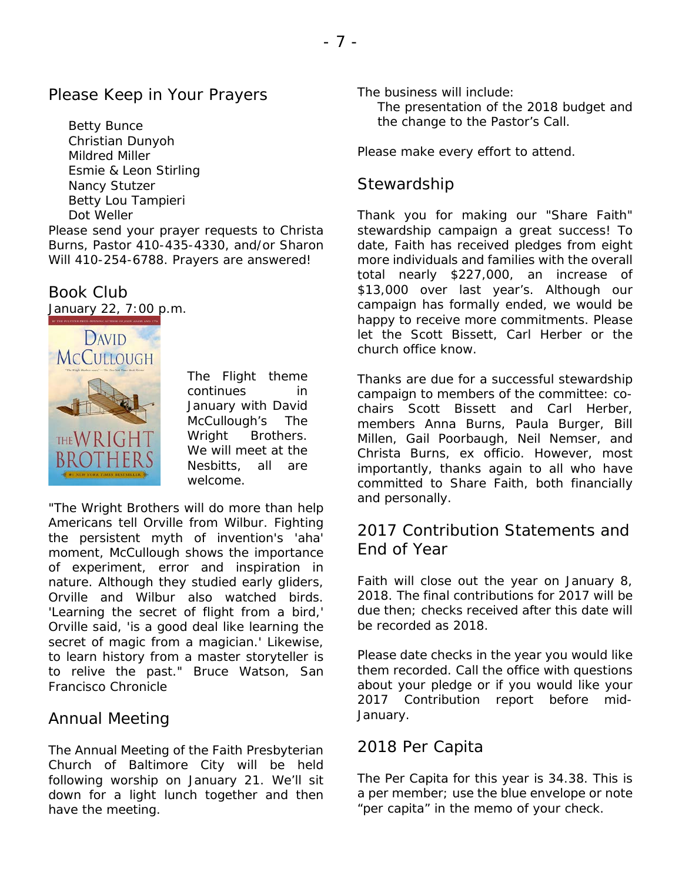Betty Bunce Christian Dunyoh Mildred Miller Esmie & Leon Stirling Nancy Stutzer Betty Lou Tampieri Dot Weller

Please send your prayer requests to Christa Burns, *Pastor* 410-435-4330, and/or Sharon Will 410-254-6788. Prayers are answered!

# Book Club

*January 22, 7:00 p.m.*



The Flight theme continues in January with David McCullough's The Wright Brothers. We will meet at the Nesbitts, all are welcome.

"The Wright Brothers will do more than help Americans tell Orville from Wilbur. Fighting the persistent myth of invention's 'aha' moment, McCullough shows the importance of experiment, error and inspiration in nature. Although they studied early gliders, Orville and Wilbur also watched birds. 'Learning the secret of flight from a bird,' Orville said, 'is a good deal like learning the secret of magic from a magician.' Likewise, to learn history from a master storyteller is to relive the past." Bruce Watson, San Francisco Chronicle

## Annual Meeting

The Annual Meeting of the Faith Presbyterian Church of Baltimore City will be held following worship on January 21. We'll sit down for a light lunch together and then have the meeting.

The business will include:

The presentation of the 2018 budget and the change to the Pastor's Call.

Please make every effort to attend.

## **Stewardship**

Thank you for making our "Share Faith" stewardship campaign a great success! To date, Faith has received pledges from eight more individuals and families with the overall total nearly \$227,000, an increase of \$13,000 over last year's. Although our campaign has formally ended, we would be happy to receive more commitments. Please let the Scott Bissett, Carl Herber or the church office know.

Thanks are due for a successful stewardship campaign to members of the committee: cochairs Scott Bissett and Carl Herber, members Anna Burns, Paula Burger, Bill Millen, Gail Poorbaugh, Neil Nemser, and Christa Burns, ex officio. However, most importantly, thanks again to all who have committed to Share Faith, both financially and personally.

## 2017 Contribution Statements and End of Year

Faith will close out the year on January 8, 2018. The final contributions for 2017 will be due then; checks received after this date will be recorded as 2018.

Please date checks in the year you would like them recorded. Call the office with questions about your pledge or if you would like your 2017 Contribution report before mid-January.

## 2018 Per Capita

The Per Capita for this year is 34.38. This is a per member; use the blue envelope or note "per capita" in the memo of your check.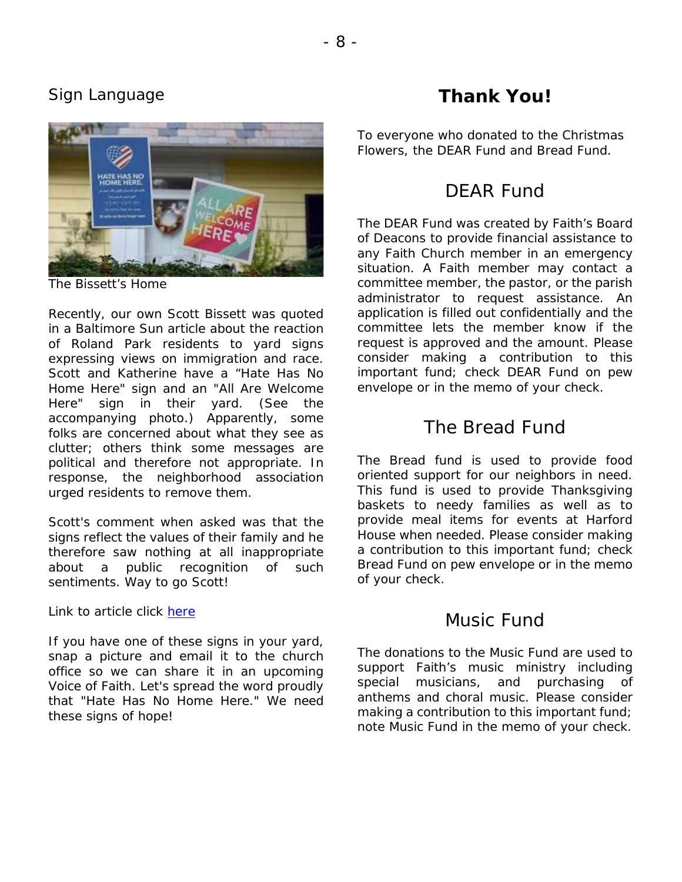## Sign Language



*The Bissett's Home*

Recently, our own Scott Bissett was quoted in a Baltimore Sun article about the reaction of Roland Park residents to yard signs expressing views on immigration and race. Scott and Katherine have a "Hate Has No Home Here" sign and an "All Are Welcome Here" sign in their yard. (See the accompanying photo.) Apparently, some folks are concerned about what they see as clutter; others think some messages are political and therefore not appropriate. In response, the neighborhood association urged residents to remove them.

Scott's comment when asked was that the signs reflect the values of their family and he therefore saw nothing at all inappropriate about a public recognition of such sentiments. Way to go Scott!

Link to article click [here](http://www.baltimoresun.com/news/maryland/baltimore-city/bs-md-ci-roland-park-signs-20171009-story.html)

If you have one of these signs in your yard, snap a picture and email it to the church office so we can share it in an upcoming Voice of Faith. Let's spread the word proudly that "Hate Has No Home Here." We need these signs of hope!

# **Thank You!**

To everyone who donated to the Christmas Flowers, the DEAR Fund and Bread Fund.

## DEAR Fund

The DEAR Fund was created by Faith's Board of Deacons to provide financial assistance to any Faith Church member in an emergency situation. A Faith member may contact a committee member, the pastor, or the parish administrator to request assistance. An application is filled out confidentially and the committee lets the member know if the request is approved and the amount. Please consider making a contribution to this important fund; check DEAR Fund on pew envelope or in the memo of your check.

## The Bread Fund

The Bread fund is used to provide food oriented support for our neighbors in need. This fund is used to provide Thanksgiving baskets to needy families as well as to provide meal items for events at Harford House when needed. Please consider making a contribution to this important fund; check Bread Fund on pew envelope or in the memo of your check.

## Music Fund

The donations to the Music Fund are used to support Faith's music ministry including special musicians, and purchasing of anthems and choral music. Please consider making a contribution to this important fund; note Music Fund in the memo of your check.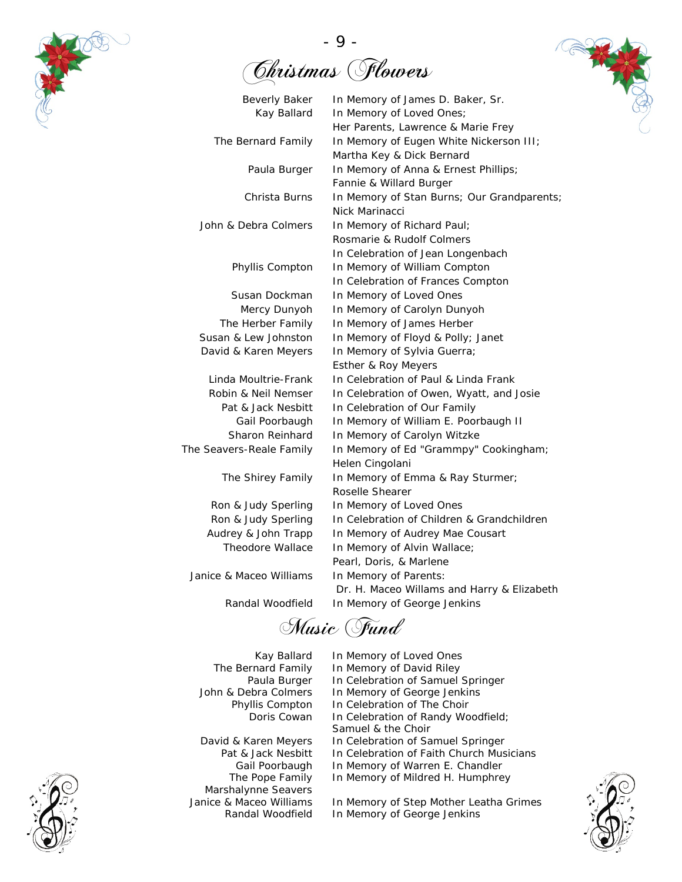

- 9 - Christmas Flowers



Music Fund

- 
- Marshalynne Seavers
- Kay Ballard In Memory of Loved Ones<br>The Bernard Family In Memory of David Riley **Example Family In Memory of David Riley**<br>Paula Burger In Celebration of Samuel Paula Burger In Celebration of Samuel Springer<br>John & Debra Colmers In Memory of George Jenkins In Memory of George Jenkins Phyllis Compton In Celebration of The Choir Doris Cowan In Celebration of Randy Woodfield; Samuel & the Choir David & Karen Meyers In Celebration of Samuel Springer<br>Pat & Jack Nesbitt In Celebration of Faith Church Mus t & Jack Nesbitt In Celebration of Faith Church Musicians<br>Gail Poorbaugh In Memory of Warren E. Chandler In Memory of Warren E. Chandler The Pope Family In Memory of Mildred H. Humphrey

Janice & Maceo Williams In Memory of Step Mother Leatha Grimes Randal Woodfield In Memory of George Jenkins



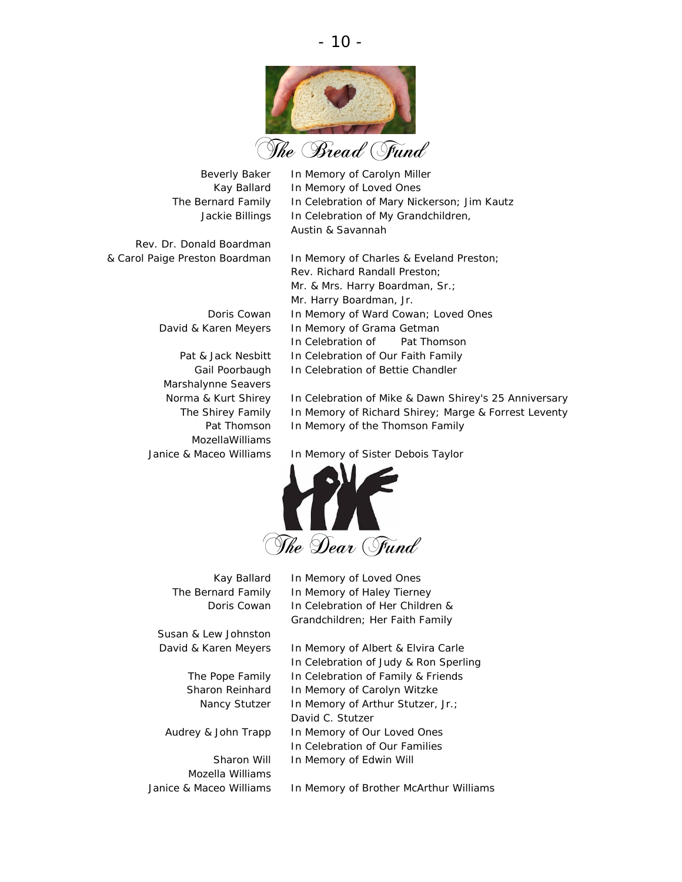

- 10 -

Rev. Dr. Donald Boardman

Marshalynne Seavers MozellaWilliams

Beverly Baker In Memory of Carolyn Miller Kay Ballard In Memory of Loved Ones The Bernard Family In Celebration of Mary Nickerson; Jim Kautz Jackie Billings In Celebration of My Grandchildren, Austin & Savannah

& Carol Paige Preston Boardman In Memory of Charles & Eveland Preston; Rev. Richard Randall Preston; Mr. & Mrs. Harry Boardman, Sr.; Mr. Harry Boardman, Jr. Doris Cowan In Memory of Ward Cowan; Loved Ones David & Karen Meyers In Memory of Grama Getman In Celebration of Pat Thomson Pat & Jack Nesbitt In Celebration of Our Faith Family Gail Poorbaugh In Celebration of Bettie Chandler

> Norma & Kurt Shirey In Celebration of Mike & Dawn Shirey's 25 Anniversary The Shirey Family In Memory of Richard Shirey; Marge & Forrest Leventy Pat Thomson In Memory of the Thomson Family

Janice & Maceo Williams In Memory of Sister Debois Taylor



Susan & Lew Johnston

Mozella Williams

Kay Ballard In Memory of Loved Ones The Bernard Family In Memory of Haley Tierney Doris Cowan In Celebration of Her Children & Grandchildren; Her Faith Family

David & Karen Meyers In Memory of Albert & Elvira Carle In Celebration of Judy & Ron Sperling The Pope Family In Celebration of Family & Friends Sharon Reinhard In Memory of Carolyn Witzke Nancy Stutzer In Memory of Arthur Stutzer, Jr.; David C. Stutzer Audrey & John Trapp In Memory of Our Loved Ones In Celebration of Our Families Sharon Will In Memory of Edwin Will

Janice & Maceo Williams In Memory of Brother McArthur Williams